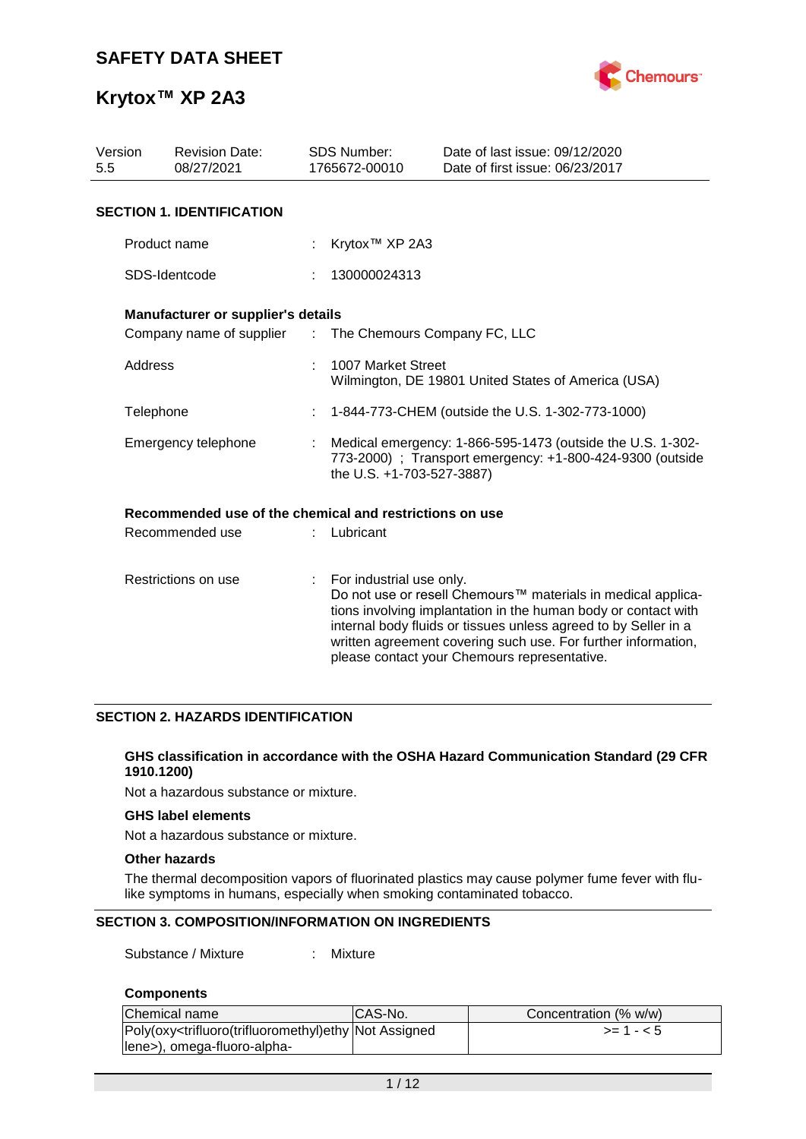

| Version<br><b>Revision Date:</b><br>5.5<br>08/27/2021 |                                                         |                 | <b>SDS Number:</b><br>1765672-00010                                                                                                                  | Date of last issue: 09/12/2020<br>Date of first issue: 06/23/2017                                                                                                                                                                                                                                                  |  |  |
|-------------------------------------------------------|---------------------------------------------------------|-----------------|------------------------------------------------------------------------------------------------------------------------------------------------------|--------------------------------------------------------------------------------------------------------------------------------------------------------------------------------------------------------------------------------------------------------------------------------------------------------------------|--|--|
|                                                       | <b>SECTION 1. IDENTIFICATION</b>                        |                 |                                                                                                                                                      |                                                                                                                                                                                                                                                                                                                    |  |  |
|                                                       | Product name                                            |                 | Krytox <sup>™</sup> XP 2A3                                                                                                                           |                                                                                                                                                                                                                                                                                                                    |  |  |
|                                                       | SDS-Identcode                                           |                 | 130000024313                                                                                                                                         |                                                                                                                                                                                                                                                                                                                    |  |  |
|                                                       | Manufacturer or supplier's details                      |                 |                                                                                                                                                      |                                                                                                                                                                                                                                                                                                                    |  |  |
|                                                       | Company name of supplier                                | $\sim$ 10 $\pm$ | The Chemours Company FC, LLC                                                                                                                         |                                                                                                                                                                                                                                                                                                                    |  |  |
| Address                                               |                                                         |                 | 1007 Market Street<br>Wilmington, DE 19801 United States of America (USA)                                                                            |                                                                                                                                                                                                                                                                                                                    |  |  |
|                                                       | Telephone                                               |                 | 1-844-773-CHEM (outside the U.S. 1-302-773-1000)<br>÷                                                                                                |                                                                                                                                                                                                                                                                                                                    |  |  |
| Emergency telephone                                   |                                                         |                 | Medical emergency: 1-866-595-1473 (outside the U.S. 1-302-<br>773-2000) ; Transport emergency: +1-800-424-9300 (outside<br>the U.S. +1-703-527-3887) |                                                                                                                                                                                                                                                                                                                    |  |  |
|                                                       | Recommended use of the chemical and restrictions on use |                 |                                                                                                                                                      |                                                                                                                                                                                                                                                                                                                    |  |  |
| Recommended use                                       |                                                         |                 | Lubricant                                                                                                                                            |                                                                                                                                                                                                                                                                                                                    |  |  |
| Restrictions on use                                   |                                                         | ÷               | For industrial use only.                                                                                                                             | Do not use or resell Chemours™ materials in medical applica-<br>tions involving implantation in the human body or contact with<br>internal body fluids or tissues unless agreed to by Seller in a<br>written agreement covering such use. For further information,<br>please contact your Chemours representative. |  |  |

### **SECTION 2. HAZARDS IDENTIFICATION**

#### **GHS classification in accordance with the OSHA Hazard Communication Standard (29 CFR 1910.1200)**

Not a hazardous substance or mixture.

### **GHS label elements**

Not a hazardous substance or mixture.

#### **Other hazards**

The thermal decomposition vapors of fluorinated plastics may cause polymer fume fever with flulike symptoms in humans, especially when smoking contaminated tobacco.

### **SECTION 3. COMPOSITION/INFORMATION ON INGREDIENTS**

Substance / Mixture : Mixture

### **Components**

| Chemical name                                                                                                                                  | ICAS-No. | Concentration (% w/w) |
|------------------------------------------------------------------------------------------------------------------------------------------------|----------|-----------------------|
| Poly(oxy <trifluoro(trifluoromethyl)ethy assigned<="" not="" td=""><td></td><td><math>&gt;= 1 - 5</math></td></trifluoro(trifluoromethyl)ethy> |          | $>= 1 - 5$            |
| lene>), omega-fluoro-alpha-                                                                                                                    |          |                       |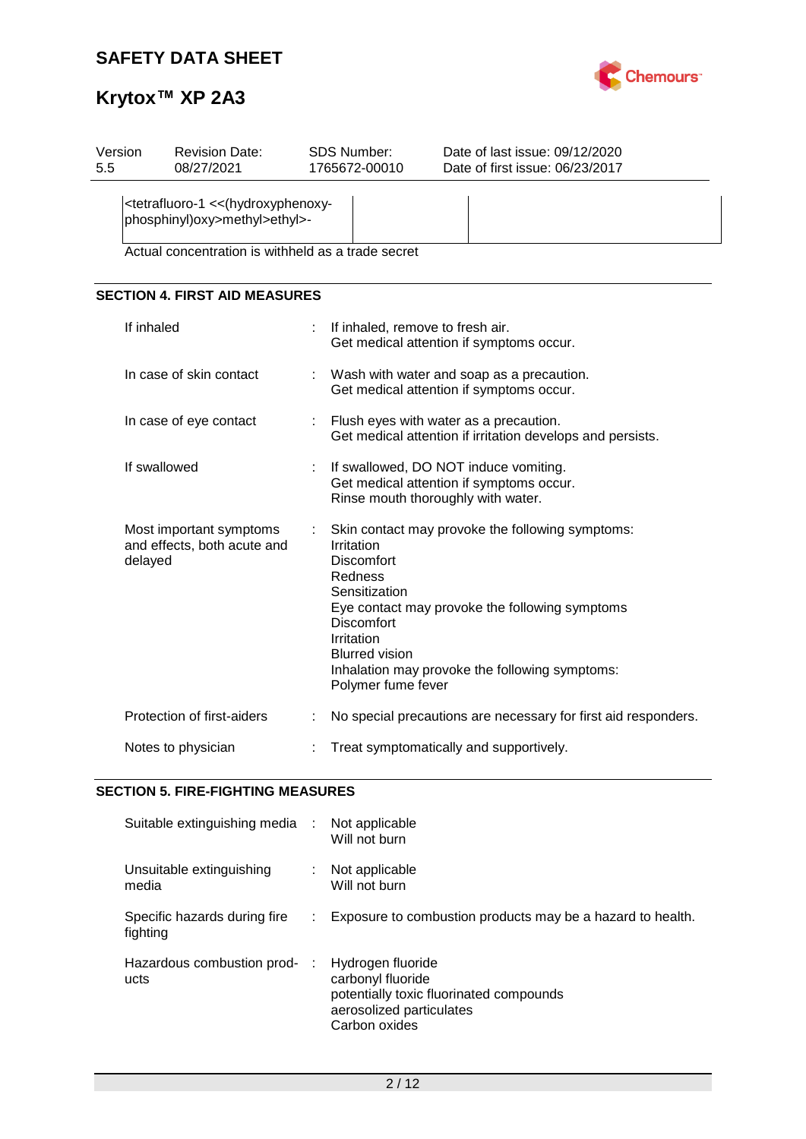

| Version<br>5.5 | <b>Revision Date:</b><br>08/27/2021                                                                |   | SDS Number:<br>1765672-00010                                                                                                                  | Date of last issue: 09/12/2020<br>Date of first issue: 06/23/2017                                                                                    |  |  |  |  |
|----------------|----------------------------------------------------------------------------------------------------|---|-----------------------------------------------------------------------------------------------------------------------------------------------|------------------------------------------------------------------------------------------------------------------------------------------------------|--|--|--|--|
|                | <tetrafluoro-1 (hydroxyphenoxy-<br="" <<="">phosphinyl)oxy&gt;methyl&gt;ethyl&gt;-</tetrafluoro-1> |   |                                                                                                                                               |                                                                                                                                                      |  |  |  |  |
|                | Actual concentration is withheld as a trade secret                                                 |   |                                                                                                                                               |                                                                                                                                                      |  |  |  |  |
|                | <b>SECTION 4. FIRST AID MEASURES</b>                                                               |   |                                                                                                                                               |                                                                                                                                                      |  |  |  |  |
|                | If inhaled                                                                                         |   |                                                                                                                                               | If inhaled, remove to fresh air.<br>Get medical attention if symptoms occur.                                                                         |  |  |  |  |
|                | In case of skin contact                                                                            | t | Wash with water and soap as a precaution.<br>Get medical attention if symptoms occur.                                                         |                                                                                                                                                      |  |  |  |  |
|                | In case of eye contact                                                                             |   | Flush eyes with water as a precaution.<br>Get medical attention if irritation develops and persists.                                          |                                                                                                                                                      |  |  |  |  |
|                | If swallowed                                                                                       |   | If swallowed, DO NOT induce vomiting.<br>Get medical attention if symptoms occur.<br>Rinse mouth thoroughly with water.                       |                                                                                                                                                      |  |  |  |  |
|                | Most important symptoms<br>and effects, both acute and<br>delayed                                  | t | Irritation<br><b>Discomfort</b><br>Redness<br>Sensitization<br><b>Discomfort</b><br>Irritation<br><b>Blurred vision</b><br>Polymer fume fever | Skin contact may provoke the following symptoms:<br>Eye contact may provoke the following symptoms<br>Inhalation may provoke the following symptoms: |  |  |  |  |
|                | Protection of first-aiders                                                                         |   |                                                                                                                                               | No special precautions are necessary for first aid responders.                                                                                       |  |  |  |  |
|                | Notes to physician                                                                                 |   |                                                                                                                                               | Treat symptomatically and supportively.                                                                                                              |  |  |  |  |

### **SECTION 5. FIRE-FIGHTING MEASURES**

| Suitable extinguishing media :           | Not applicable<br>Will not burn                                                                                                |
|------------------------------------------|--------------------------------------------------------------------------------------------------------------------------------|
| Unsuitable extinguishing<br>media        | Not applicable<br>Will not burn                                                                                                |
| Specific hazards during fire<br>fighting | Exposure to combustion products may be a hazard to health.                                                                     |
| Hazardous combustion prod-<br>ucts       | Hydrogen fluoride<br>carbonyl fluoride<br>potentially toxic fluorinated compounds<br>aerosolized particulates<br>Carbon oxides |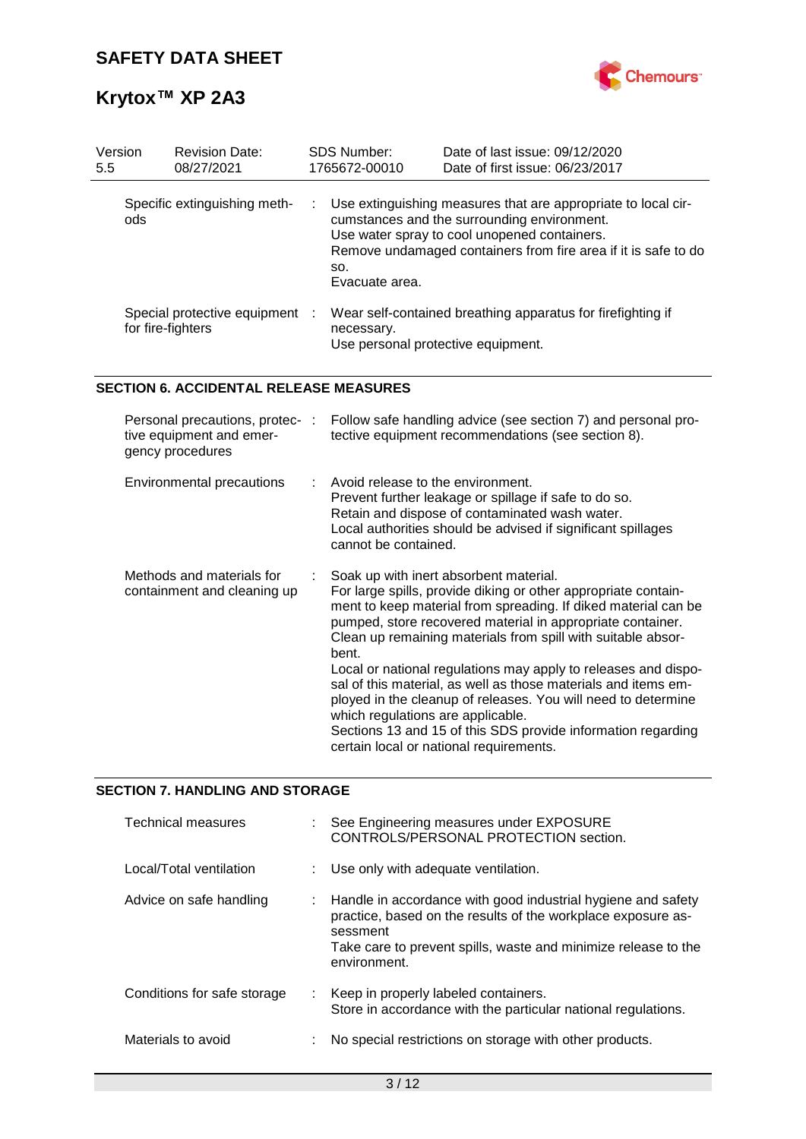

| Version<br>5.5                      | <b>Revision Date:</b><br>08/27/2021               | <b>SDS Number:</b><br>1765672-00010                                                                                                                                                                                                                                         | Date of last issue: 09/12/2020<br>Date of first issue: 06/23/2017                                 |
|-------------------------------------|---------------------------------------------------|-----------------------------------------------------------------------------------------------------------------------------------------------------------------------------------------------------------------------------------------------------------------------------|---------------------------------------------------------------------------------------------------|
| Specific extinguishing meth-<br>ods |                                                   | Use extinguishing measures that are appropriate to local cir-<br><b>The Story</b><br>cumstances and the surrounding environment.<br>Use water spray to cool unopened containers.<br>Remove undamaged containers from fire area if it is safe to do<br>SO.<br>Evacuate area. |                                                                                                   |
|                                     | Special protective equipment<br>for fire-fighters | necessary.                                                                                                                                                                                                                                                                  | Wear self-contained breathing apparatus for firefighting if<br>Use personal protective equipment. |

### **SECTION 6. ACCIDENTAL RELEASE MEASURES**

| Personal precautions, protec- :<br>tive equipment and emer-<br>gency procedures | Follow safe handling advice (see section 7) and personal pro-<br>tective equipment recommendations (see section 8).                                                                                                                                                                                                                                                                                                                                                                                                                                                                                                                                                    |
|---------------------------------------------------------------------------------|------------------------------------------------------------------------------------------------------------------------------------------------------------------------------------------------------------------------------------------------------------------------------------------------------------------------------------------------------------------------------------------------------------------------------------------------------------------------------------------------------------------------------------------------------------------------------------------------------------------------------------------------------------------------|
| <b>Environmental precautions</b>                                                | : Avoid release to the environment.<br>Prevent further leakage or spillage if safe to do so.<br>Retain and dispose of contaminated wash water.<br>Local authorities should be advised if significant spillages<br>cannot be contained.                                                                                                                                                                                                                                                                                                                                                                                                                                 |
| Methods and materials for<br>containment and cleaning up                        | Soak up with inert absorbent material.<br>For large spills, provide diking or other appropriate contain-<br>ment to keep material from spreading. If diked material can be<br>pumped, store recovered material in appropriate container.<br>Clean up remaining materials from spill with suitable absor-<br>bent.<br>Local or national regulations may apply to releases and dispo-<br>sal of this material, as well as those materials and items em-<br>ployed in the cleanup of releases. You will need to determine<br>which regulations are applicable.<br>Sections 13 and 15 of this SDS provide information regarding<br>certain local or national requirements. |

### **SECTION 7. HANDLING AND STORAGE**

| Technical measures          |    | : See Engineering measures under EXPOSURE<br>CONTROLS/PERSONAL PROTECTION section.                                                                                                                                         |
|-----------------------------|----|----------------------------------------------------------------------------------------------------------------------------------------------------------------------------------------------------------------------------|
| Local/Total ventilation     |    | : Use only with adequate ventilation.                                                                                                                                                                                      |
| Advice on safe handling     | ÷. | Handle in accordance with good industrial hygiene and safety<br>practice, based on the results of the workplace exposure as-<br>sessment<br>Take care to prevent spills, waste and minimize release to the<br>environment. |
| Conditions for safe storage |    | : Keep in properly labeled containers.<br>Store in accordance with the particular national regulations.                                                                                                                    |
| Materials to avoid          |    | No special restrictions on storage with other products.                                                                                                                                                                    |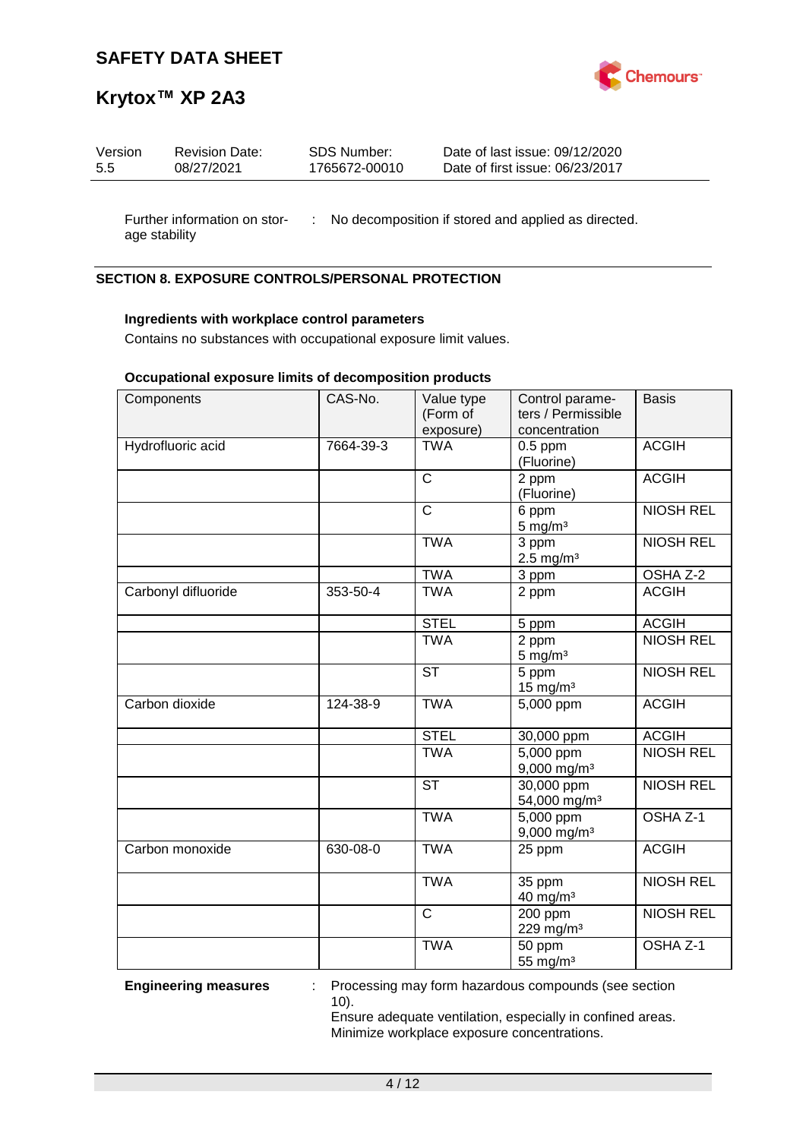

### **Krytox™ XP 2A3**

| Version | <b>Revision Date:</b> | SDS Number:   | Date of last issue: 09/12/2020  |
|---------|-----------------------|---------------|---------------------------------|
| 5.5     | 08/27/2021            | 1765672-00010 | Date of first issue: 06/23/2017 |
|         |                       |               |                                 |

Further information on stor- : No decomposition if stored and applied as directed. age stability

### **SECTION 8. EXPOSURE CONTROLS/PERSONAL PROTECTION**

### **Ingredients with workplace control parameters**

Contains no substances with occupational exposure limit values.

### **Occupational exposure limits of decomposition products**

| Components          | CAS-No.   | Value type<br>(Form of<br>exposure) | Control parame-<br>ters / Permissible<br>concentration | <b>Basis</b>        |
|---------------------|-----------|-------------------------------------|--------------------------------------------------------|---------------------|
| Hydrofluoric acid   | 7664-39-3 | <b>TWA</b>                          | $0.5$ ppm<br>(Fluorine)                                | <b>ACGIH</b>        |
|                     |           | $\overline{C}$                      | 2 ppm<br>(Fluorine)                                    | <b>ACGIH</b>        |
|                     |           | $\mathsf{C}$                        | 6 ppm<br>$5$ mg/m <sup>3</sup>                         | <b>NIOSH REL</b>    |
|                     |           | <b>TWA</b>                          | $\overline{3}$ ppm<br>$2.5 \text{ mg/m}^3$             | <b>NIOSH REL</b>    |
|                     |           | <b>TWA</b>                          | 3 ppm                                                  | OSHA Z-2            |
| Carbonyl difluoride | 353-50-4  | <b>TWA</b>                          | 2 ppm                                                  | <b>ACGIH</b>        |
|                     |           | <b>STEL</b>                         | 5 ppm                                                  | <b>ACGIH</b>        |
|                     |           | <b>TWA</b>                          | 2 ppm<br>$5$ mg/m <sup>3</sup>                         | <b>NIOSH REL</b>    |
|                     |           | <b>ST</b>                           | 5 ppm<br>$15$ mg/m <sup>3</sup>                        | <b>NIOSH REL</b>    |
| Carbon dioxide      | 124-38-9  | <b>TWA</b>                          | 5,000 ppm                                              | <b>ACGIH</b>        |
|                     |           | <b>STEL</b>                         | 30,000 ppm                                             | <b>ACGIH</b>        |
|                     |           | <b>TWA</b>                          | 5,000 ppm<br>$9,000$ mg/m <sup>3</sup>                 | <b>NIOSH REL</b>    |
|                     |           | $\overline{\text{ST}}$              | 30,000 ppm<br>54,000 mg/m <sup>3</sup>                 | <b>NIOSH REL</b>    |
|                     |           | <b>TWA</b>                          | 5,000 ppm<br>9,000 mg/m <sup>3</sup>                   | OSHA <sub>Z-1</sub> |
| Carbon monoxide     | 630-08-0  | <b>TWA</b>                          | 25 ppm                                                 | <b>ACGIH</b>        |
|                     |           | <b>TWA</b>                          | 35 ppm<br>40 mg/m <sup>3</sup>                         | <b>NIOSH REL</b>    |
|                     |           | $\mathsf{C}$                        | 200 ppm<br>229 mg/m <sup>3</sup>                       | <b>NIOSH REL</b>    |
|                     |           | <b>TWA</b>                          | 50 ppm<br>55 mg/m <sup>3</sup>                         | OSHA <sub>Z-1</sub> |

**Engineering measures** : Processing may form hazardous compounds (see section 10).

Ensure adequate ventilation, especially in confined areas. Minimize workplace exposure concentrations.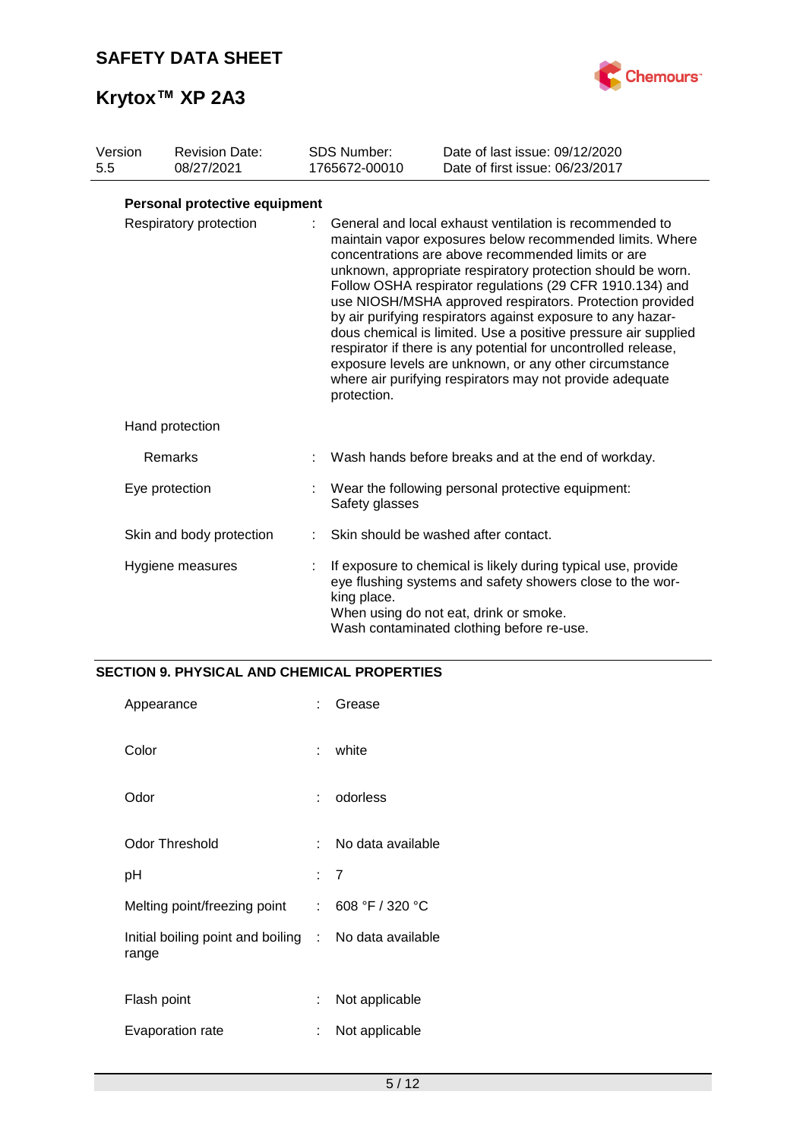

| Version<br>5.5         |  | <b>Revision Date:</b><br>08/27/2021 |   | <b>SDS Number:</b><br>1765672-00010                                                                                                                                                                                                                                                                                                                                                                                                                                                                                                                                                                                                                                                                      | Date of last issue: 09/12/2020<br>Date of first issue: 06/23/2017                                                                                                                                                 |  |  |
|------------------------|--|-------------------------------------|---|----------------------------------------------------------------------------------------------------------------------------------------------------------------------------------------------------------------------------------------------------------------------------------------------------------------------------------------------------------------------------------------------------------------------------------------------------------------------------------------------------------------------------------------------------------------------------------------------------------------------------------------------------------------------------------------------------------|-------------------------------------------------------------------------------------------------------------------------------------------------------------------------------------------------------------------|--|--|
|                        |  | Personal protective equipment       |   |                                                                                                                                                                                                                                                                                                                                                                                                                                                                                                                                                                                                                                                                                                          |                                                                                                                                                                                                                   |  |  |
| Respiratory protection |  |                                     |   | General and local exhaust ventilation is recommended to<br>maintain vapor exposures below recommended limits. Where<br>concentrations are above recommended limits or are<br>unknown, appropriate respiratory protection should be worn.<br>Follow OSHA respirator regulations (29 CFR 1910.134) and<br>use NIOSH/MSHA approved respirators. Protection provided<br>by air purifying respirators against exposure to any hazar-<br>dous chemical is limited. Use a positive pressure air supplied<br>respirator if there is any potential for uncontrolled release,<br>exposure levels are unknown, or any other circumstance<br>where air purifying respirators may not provide adequate<br>protection. |                                                                                                                                                                                                                   |  |  |
|                        |  | Hand protection                     |   |                                                                                                                                                                                                                                                                                                                                                                                                                                                                                                                                                                                                                                                                                                          |                                                                                                                                                                                                                   |  |  |
|                        |  | Remarks                             |   |                                                                                                                                                                                                                                                                                                                                                                                                                                                                                                                                                                                                                                                                                                          | Wash hands before breaks and at the end of workday.                                                                                                                                                               |  |  |
|                        |  | Eye protection                      |   | Safety glasses                                                                                                                                                                                                                                                                                                                                                                                                                                                                                                                                                                                                                                                                                           | Wear the following personal protective equipment:                                                                                                                                                                 |  |  |
|                        |  | Skin and body protection            |   |                                                                                                                                                                                                                                                                                                                                                                                                                                                                                                                                                                                                                                                                                                          | Skin should be washed after contact.                                                                                                                                                                              |  |  |
|                        |  | Hygiene measures                    | ÷ | king place.                                                                                                                                                                                                                                                                                                                                                                                                                                                                                                                                                                                                                                                                                              | If exposure to chemical is likely during typical use, provide<br>eye flushing systems and safety showers close to the wor-<br>When using do not eat, drink or smoke.<br>Wash contaminated clothing before re-use. |  |  |

### **SECTION 9. PHYSICAL AND CHEMICAL PROPERTIES**

| Appearance                                                     | t.  | Grease            |
|----------------------------------------------------------------|-----|-------------------|
| Color                                                          | t.  | white             |
| Odor                                                           |     | odorless          |
| <b>Odor Threshold</b>                                          | × 1 | No data available |
| рH                                                             |     | : 7               |
| Melting point/freezing point                                   |     | : 608 °F / 320 °C |
| Initial boiling point and boiling : No data available<br>range |     |                   |
| Flash point                                                    | t.  | Not applicable    |
| Evaporation rate                                               | ÷   | Not applicable    |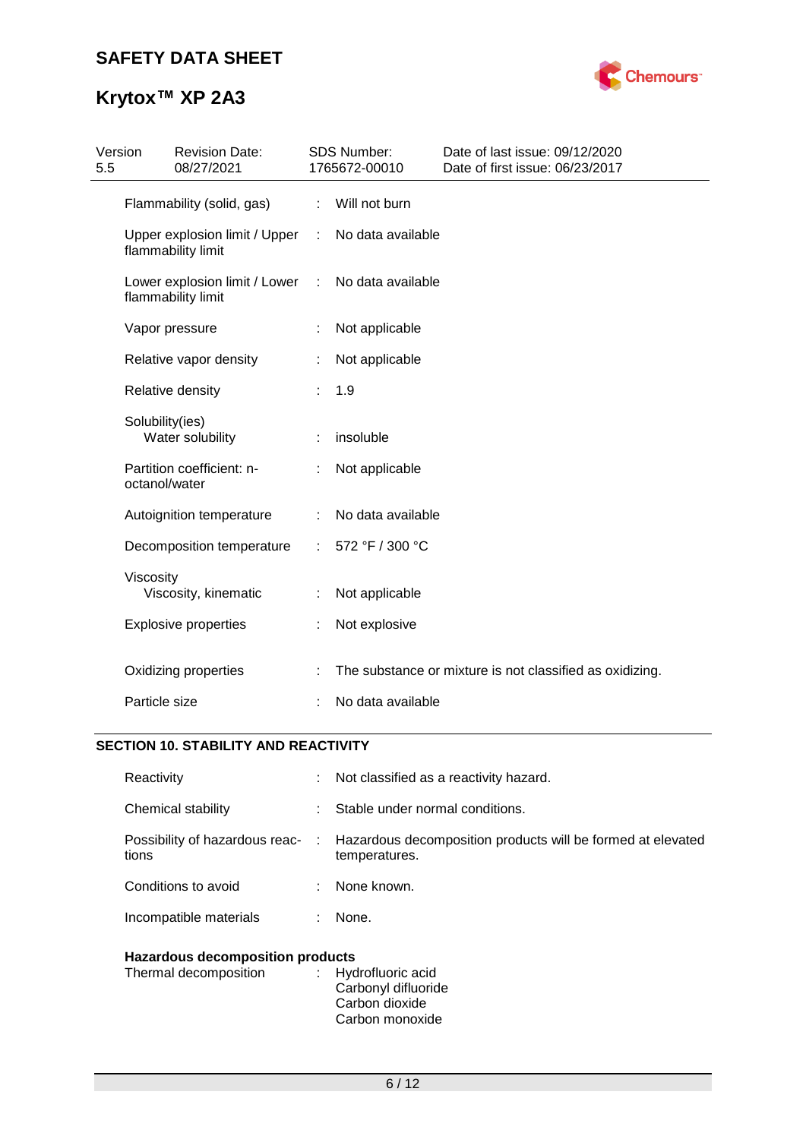

# **Krytox™ XP 2A3**

| 5.5 | <b>Revision Date:</b><br>Version<br>08/27/2021      |    | <b>SDS Number:</b><br>1765672-00010 | Date of last issue: 09/12/2020<br>Date of first issue: 06/23/2017 |
|-----|-----------------------------------------------------|----|-------------------------------------|-------------------------------------------------------------------|
|     | Flammability (solid, gas)                           | ÷. | Will not burn                       |                                                                   |
|     | Upper explosion limit / Upper<br>flammability limit | ÷  | No data available                   |                                                                   |
|     | Lower explosion limit / Lower<br>flammability limit | ÷  | No data available                   |                                                                   |
|     | Vapor pressure                                      |    | Not applicable                      |                                                                   |
|     | Relative vapor density                              |    | Not applicable                      |                                                                   |
|     | Relative density                                    |    | 1.9                                 |                                                                   |
|     | Solubility(ies)<br>Water solubility                 |    | insoluble                           |                                                                   |
|     | Partition coefficient: n-<br>octanol/water          |    | Not applicable                      |                                                                   |
|     | Autoignition temperature                            | ÷  | No data available                   |                                                                   |
|     | Decomposition temperature                           | ÷. | 572 °F / 300 °C                     |                                                                   |
|     | Viscosity<br>Viscosity, kinematic                   |    | Not applicable                      |                                                                   |
|     | <b>Explosive properties</b>                         |    | Not explosive                       |                                                                   |
|     | Oxidizing properties                                |    |                                     | The substance or mixture is not classified as oxidizing.          |
|     | Particle size                                       |    | No data available                   |                                                                   |

### **SECTION 10. STABILITY AND REACTIVITY**

| Hazardous decomposition products        |    |                                                                                |  |  |
|-----------------------------------------|----|--------------------------------------------------------------------------------|--|--|
| Incompatible materials<br>None.<br>÷.   |    |                                                                                |  |  |
| Conditions to avoid                     |    | None known.                                                                    |  |  |
| Possibility of hazardous reac-<br>tions |    | : Hazardous decomposition products will be formed at elevated<br>temperatures. |  |  |
| Chemical stability                      |    | Stable under normal conditions.                                                |  |  |
| Reactivity                              | t. | Not classified as a reactivity hazard.                                         |  |  |

| . |                     |
|---|---------------------|
|   | : Hydrofluoric acid |
|   | Carbonyl difluoride |
|   | Carbon dioxide      |
|   | Carbon monoxide     |
|   |                     |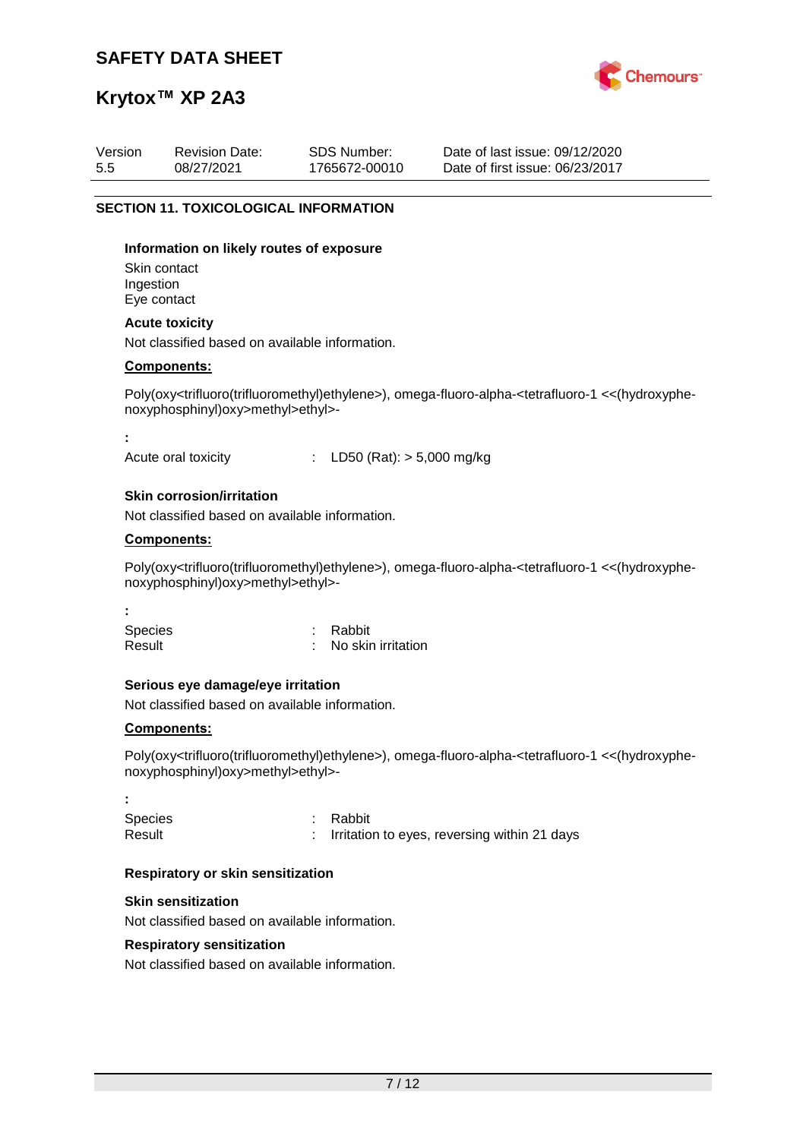

# **Krytox™ XP 2A3**

| Version<br>5.5           | <b>Revision Date:</b><br>08/27/2021                                                 | <b>SDS Number:</b><br>1765672-00010 | Date of last issue: 09/12/2020<br>Date of first issue: 06/23/2017                                                                                                |
|--------------------------|-------------------------------------------------------------------------------------|-------------------------------------|------------------------------------------------------------------------------------------------------------------------------------------------------------------|
|                          | <b>SECTION 11. TOXICOLOGICAL INFORMATION</b>                                        |                                     |                                                                                                                                                                  |
| Ingestion                | Information on likely routes of exposure<br>Skin contact<br>Eye contact             |                                     |                                                                                                                                                                  |
|                          | <b>Acute toxicity</b><br>Not classified based on available information.             |                                     |                                                                                                                                                                  |
|                          | <b>Components:</b>                                                                  |                                     |                                                                                                                                                                  |
|                          | noxyphosphinyl)oxy>methyl>ethyl>-                                                   |                                     | Poly(oxy <trifluoro(trifluoromethyl)ethylene>), omega-fluoro-alpha-<tetrafluoro-1 <<(hydroxyphe-<="" td=""></tetrafluoro-1></trifluoro(trifluoromethyl)ethylene> |
|                          | Acute oral toxicity                                                                 | LD50 (Rat): $> 5,000$ mg/kg         |                                                                                                                                                                  |
|                          | <b>Skin corrosion/irritation</b><br>Not classified based on available information.  |                                     |                                                                                                                                                                  |
|                          | Components:                                                                         |                                     |                                                                                                                                                                  |
|                          | noxyphosphinyl)oxy>methyl>ethyl>-                                                   |                                     | Poly(oxy <trifluoro(trifluoromethyl)ethylene>), omega-fluoro-alpha-<tetrafluoro-1 <<(hydroxyphe-<="" td=""></tetrafluoro-1></trifluoro(trifluoromethyl)ethylene> |
| <b>Species</b><br>Result |                                                                                     | Rabbit<br>No skin irritation        |                                                                                                                                                                  |
|                          | Serious eye damage/eye irritation<br>Not classified based on available information. |                                     |                                                                                                                                                                  |
|                          | <b>Components:</b><br>noxyphosphinyl)oxy>methyl>ethyl>-                             |                                     | Poly(oxy <trifluoro(trifluoromethyl)ethylene>), omega-fluoro-alpha-<tetrafluoro-1 <<(hydroxyphe-<="" td=""></tetrafluoro-1></trifluoro(trifluoromethyl)ethylene> |
| <b>Species</b><br>Result |                                                                                     | Rabbit                              | Irritation to eyes, reversing within 21 days                                                                                                                     |
|                          | Respiratory or skin sensitization                                                   |                                     |                                                                                                                                                                  |
|                          | <b>Skin sensitization</b><br>Not classified based on available information.         |                                     |                                                                                                                                                                  |
|                          | <b>Respiratory sensitization</b><br>Not classified based on available information.  |                                     |                                                                                                                                                                  |
|                          |                                                                                     |                                     |                                                                                                                                                                  |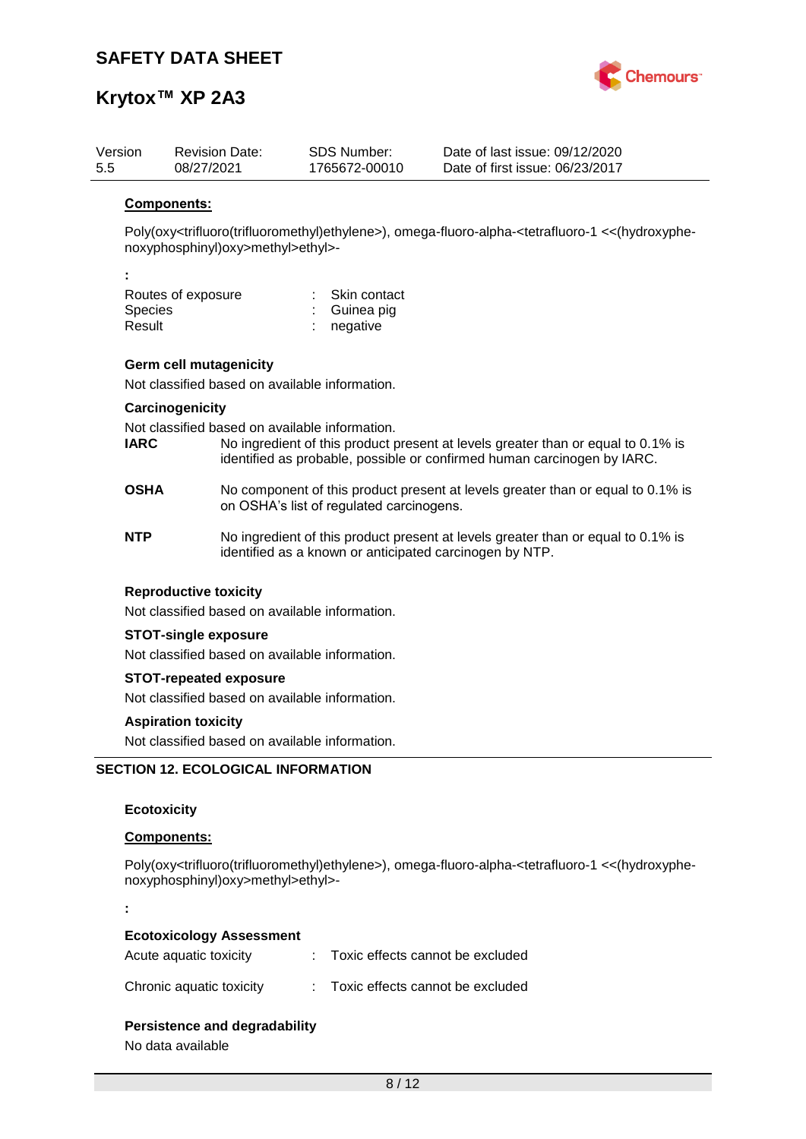

# **Krytox™ XP 2A3**

| Version<br>5.5 |                                                                              | <b>Revision Date:</b><br>08/27/2021                                             |  | <b>SDS Number:</b><br>1765672-00010      | Date of last issue: 09/12/2020<br>Date of first issue: 06/23/2017                                                                                                |
|----------------|------------------------------------------------------------------------------|---------------------------------------------------------------------------------|--|------------------------------------------|------------------------------------------------------------------------------------------------------------------------------------------------------------------|
|                | Components:                                                                  |                                                                                 |  |                                          |                                                                                                                                                                  |
|                |                                                                              | noxyphosphinyl)oxy>methyl>ethyl>-                                               |  |                                          | Poly(oxy <trifluoro(trifluoromethyl)ethylene>), omega-fluoro-alpha-<tetrafluoro-1 <<(hydroxyphe-<="" td=""></tetrafluoro-1></trifluoro(trifluoromethyl)ethylene> |
|                |                                                                              |                                                                                 |  |                                          |                                                                                                                                                                  |
|                | <b>Species</b><br>Result                                                     | Routes of exposure                                                              |  | Skin contact<br>Guinea pig<br>negative   |                                                                                                                                                                  |
|                |                                                                              | <b>Germ cell mutagenicity</b>                                                   |  |                                          |                                                                                                                                                                  |
|                |                                                                              | Not classified based on available information.                                  |  |                                          |                                                                                                                                                                  |
|                |                                                                              | Carcinogenicity                                                                 |  |                                          |                                                                                                                                                                  |
|                | <b>IARC</b>                                                                  | Not classified based on available information.                                  |  |                                          | No ingredient of this product present at levels greater than or equal to 0.1% is<br>identified as probable, possible or confirmed human carcinogen by IARC.      |
|                | <b>OSHA</b>                                                                  |                                                                                 |  | on OSHA's list of regulated carcinogens. | No component of this product present at levels greater than or equal to 0.1% is                                                                                  |
|                | <b>NTP</b>                                                                   |                                                                                 |  |                                          | No ingredient of this product present at levels greater than or equal to 0.1% is<br>identified as a known or anticipated carcinogen by NTP.                      |
|                |                                                                              | <b>Reproductive toxicity</b>                                                    |  |                                          |                                                                                                                                                                  |
|                |                                                                              | Not classified based on available information.                                  |  |                                          |                                                                                                                                                                  |
|                |                                                                              | <b>STOT-single exposure</b>                                                     |  |                                          |                                                                                                                                                                  |
|                |                                                                              | Not classified based on available information.                                  |  |                                          |                                                                                                                                                                  |
|                |                                                                              | <b>STOT-repeated exposure</b><br>Not classified based on available information. |  |                                          |                                                                                                                                                                  |
|                |                                                                              |                                                                                 |  |                                          |                                                                                                                                                                  |
|                | <b>Aspiration toxicity</b><br>Not classified based on available information. |                                                                                 |  |                                          |                                                                                                                                                                  |
|                |                                                                              | <b>SECTION 12. ECOLOGICAL INFORMATION</b>                                       |  |                                          |                                                                                                                                                                  |
|                |                                                                              |                                                                                 |  |                                          |                                                                                                                                                                  |
|                | <b>Ecotoxicity</b>                                                           |                                                                                 |  |                                          |                                                                                                                                                                  |
|                | Components:                                                                  |                                                                                 |  |                                          |                                                                                                                                                                  |

Poly(oxy<trifluoro(trifluoromethyl)ethylene>), omega-fluoro-alpha-<tetrafluoro-1 <<(hydroxyphenoxyphosphinyl)oxy>methyl>ethyl>-

**:**

#### **Ecotoxicology Assessment**

| Acute aquatic toxicity   | Toxic effects cannot be excluded |
|--------------------------|----------------------------------|
| Chronic aquatic toxicity | Toxic effects cannot be excluded |

### **Persistence and degradability**

No data available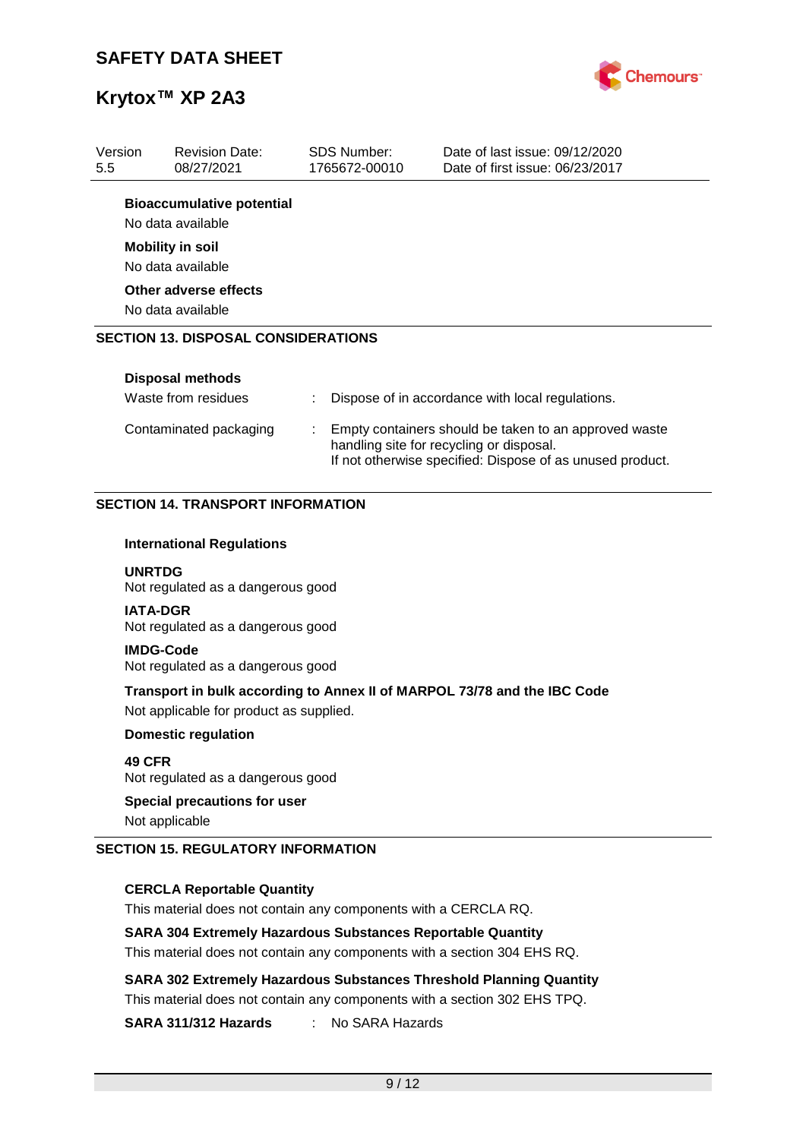

| Version<br>5.5 | <b>Revision Date:</b><br>08/27/2021                   | <b>SDS Number:</b><br>1765672-00010 | Date of last issue: 09/12/2020<br>Date of first issue: 06/23/2017                                 |
|----------------|-------------------------------------------------------|-------------------------------------|---------------------------------------------------------------------------------------------------|
|                | <b>Bioaccumulative potential</b><br>No data available |                                     |                                                                                                   |
|                | <b>Mobility in soil</b><br>No data available          |                                     |                                                                                                   |
|                | Other adverse effects<br>No data available            |                                     |                                                                                                   |
|                | <b>SECTION 13. DISPOSAL CONSIDERATIONS</b>            |                                     |                                                                                                   |
|                | Disposal methods                                      |                                     |                                                                                                   |
|                | Waste from residues                                   |                                     | Dispose of in accordance with local regulations.                                                  |
|                | Contaminated packaging                                |                                     | Empty containers should be taken to an approved waste<br>handling site for recycling or disposal. |

If not otherwise specified: Dispose of as unused product.

### **SECTION 14. TRANSPORT INFORMATION**

#### **International Regulations**

**UNRTDG** Not regulated as a dangerous good

**IATA-DGR** Not regulated as a dangerous good

**IMDG-Code** Not regulated as a dangerous good

**Transport in bulk according to Annex II of MARPOL 73/78 and the IBC Code** Not applicable for product as supplied.

**Domestic regulation**

**49 CFR** Not regulated as a dangerous good

#### **Special precautions for user**

Not applicable

### **SECTION 15. REGULATORY INFORMATION**

#### **CERCLA Reportable Quantity**

This material does not contain any components with a CERCLA RQ.

#### **SARA 304 Extremely Hazardous Substances Reportable Quantity**

This material does not contain any components with a section 304 EHS RQ.

**SARA 302 Extremely Hazardous Substances Threshold Planning Quantity** This material does not contain any components with a section 302 EHS TPQ.

**SARA 311/312 Hazards** : No SARA Hazards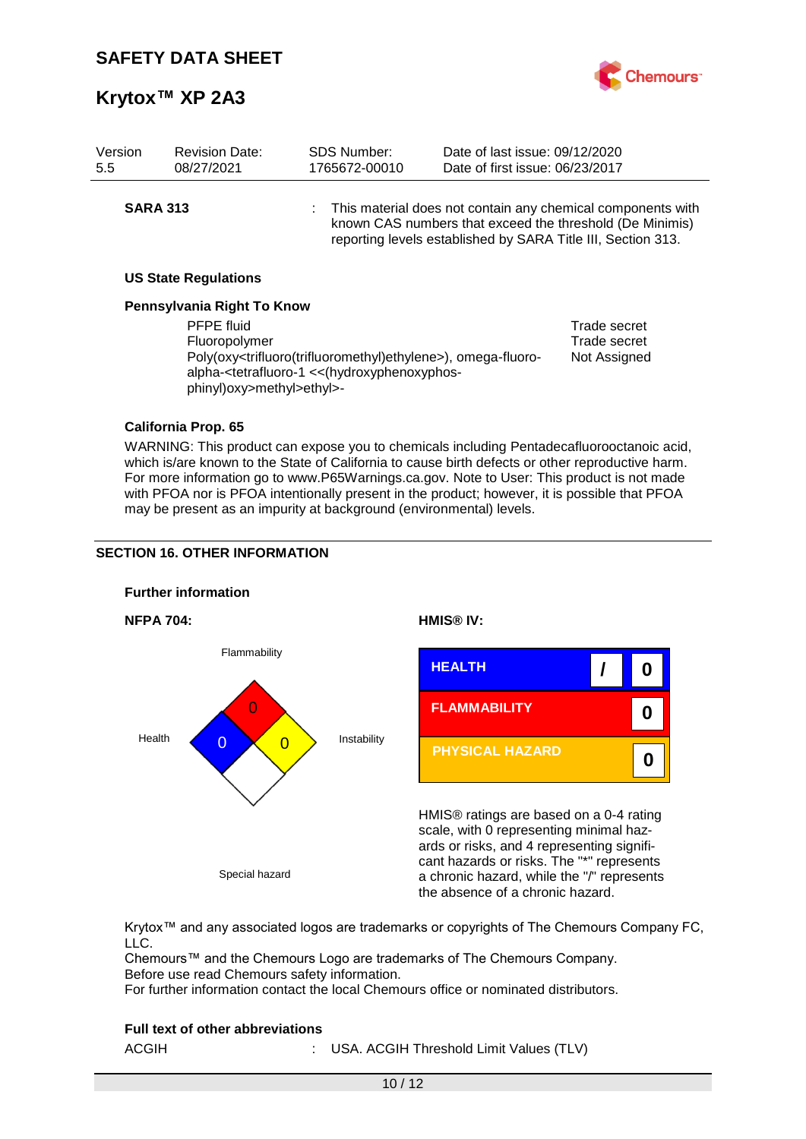

| Version<br>5.5  | <b>Revision Date:</b><br>08/27/2021                             | SDS Number:<br>1765672-00010                                                                                                                                                                                                                      | Date of last issue: 09/12/2020<br>Date of first issue: 06/23/2017 |                                                                                                                           |
|-----------------|-----------------------------------------------------------------|---------------------------------------------------------------------------------------------------------------------------------------------------------------------------------------------------------------------------------------------------|-------------------------------------------------------------------|---------------------------------------------------------------------------------------------------------------------------|
| <b>SARA 313</b> |                                                                 |                                                                                                                                                                                                                                                   | reporting levels established by SARA Title III, Section 313.      | : This material does not contain any chemical components with<br>known CAS numbers that exceed the threshold (De Minimis) |
|                 | <b>US State Regulations</b>                                     |                                                                                                                                                                                                                                                   |                                                                   |                                                                                                                           |
|                 | Pennsylvania Right To Know                                      |                                                                                                                                                                                                                                                   |                                                                   |                                                                                                                           |
|                 | <b>PFPE</b> fluid<br>Fluoropolymer<br>phinyl)oxy>methyl>ethyl>- | Poly(oxy <trifluoro(trifluoromethyl)ethylene>), omega-fluoro-<br/>alpha-<tetrafluoro-1 (hydroxyphenoxyphos-<="" <<="" th=""><th></th><th>Trade secret<br/>Trade secret<br/>Not Assigned</th></tetrafluoro-1></trifluoro(trifluoromethyl)ethylene> |                                                                   | Trade secret<br>Trade secret<br>Not Assigned                                                                              |
|                 | <b>California Prop. 65</b>                                      |                                                                                                                                                                                                                                                   |                                                                   |                                                                                                                           |

WARNING: This product can expose you to chemicals including Pentadecafluorooctanoic acid, which is/are known to the State of California to cause birth defects or other reproductive harm. For more information go to www.P65Warnings.ca.gov. Note to User: This product is not made with PFOA nor is PFOA intentionally present in the product; however, it is possible that PFOA may be present as an impurity at background (environmental) levels.

### **SECTION 16. OTHER INFORMATION**



Krytox™ and any associated logos are trademarks or copyrights of The Chemours Company FC, LLC.

Chemours™ and the Chemours Logo are trademarks of The Chemours Company. Before use read Chemours safety information.

For further information contact the local Chemours office or nominated distributors.

### **Full text of other abbreviations**

| ACGIH |  |  | USA. ACGIH Threshold Limit Values (TLV) |  |  |
|-------|--|--|-----------------------------------------|--|--|
|-------|--|--|-----------------------------------------|--|--|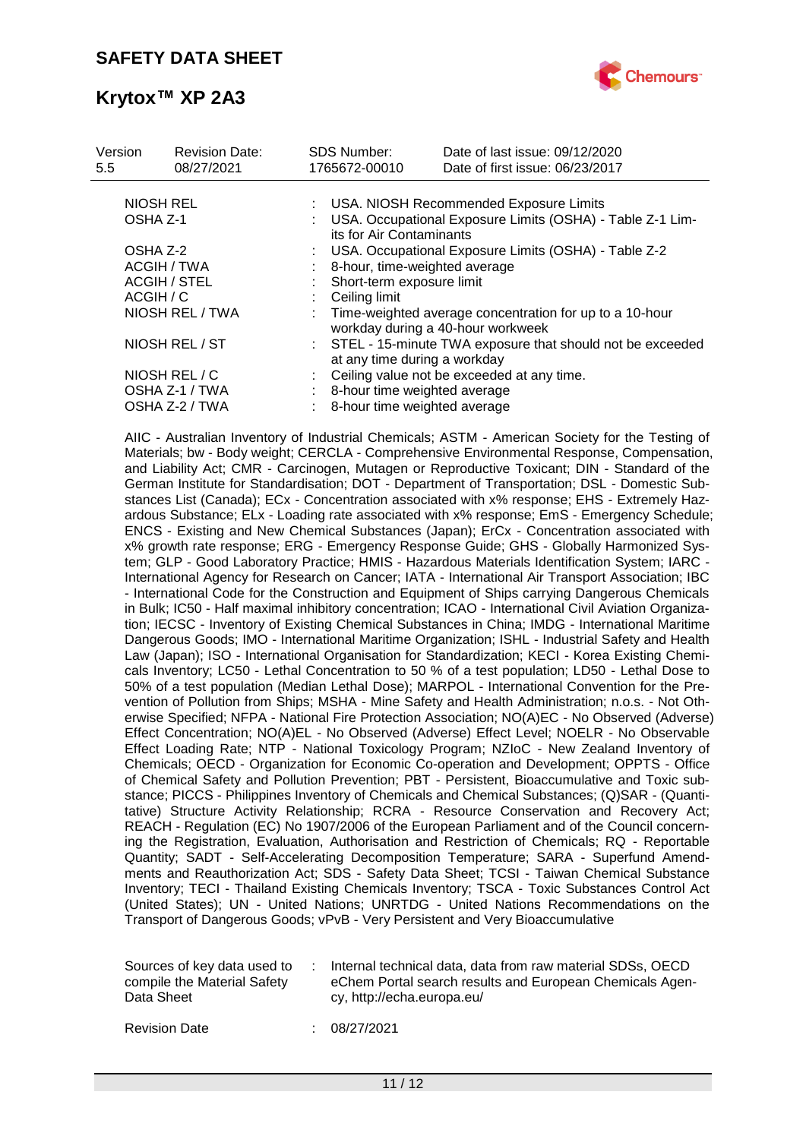

| Version<br>5.5 | <b>Revision Date:</b><br>08/27/2021 | <b>SDS Number:</b><br>1765672-00010 | Date of last issue: 09/12/2020<br>Date of first issue: 06/23/2017                            |  |
|----------------|-------------------------------------|-------------------------------------|----------------------------------------------------------------------------------------------|--|
|                | <b>NIOSH REL</b>                    |                                     |                                                                                              |  |
|                |                                     |                                     | USA. NIOSH Recommended Exposure Limits                                                       |  |
| OSHA Z-1       |                                     | its for Air Contaminants            | USA. Occupational Exposure Limits (OSHA) - Table Z-1 Lim-                                    |  |
| OSHA Z-2       |                                     |                                     | USA. Occupational Exposure Limits (OSHA) - Table Z-2                                         |  |
|                | ACGIH / TWA                         | 8-hour, time-weighted average       |                                                                                              |  |
|                | <b>ACGIH / STEL</b>                 | Short-term exposure limit           |                                                                                              |  |
| ACGIH / C      |                                     | Ceiling limit                       |                                                                                              |  |
|                | NIOSH REL / TWA                     |                                     | Time-weighted average concentration for up to a 10-hour<br>workday during a 40-hour workweek |  |
|                | NIOSH REL / ST                      |                                     | : STEL - 15-minute TWA exposure that should not be exceeded<br>at any time during a workday  |  |
|                | NIOSH REL / C                       |                                     | Ceiling value not be exceeded at any time.                                                   |  |
|                | OSHA Z-1 / TWA                      |                                     | 8-hour time weighted average                                                                 |  |
|                | OSHA Z-2 / TWA                      |                                     | 8-hour time weighted average                                                                 |  |
|                |                                     |                                     |                                                                                              |  |

AIIC - Australian Inventory of Industrial Chemicals; ASTM - American Society for the Testing of Materials; bw - Body weight; CERCLA - Comprehensive Environmental Response, Compensation, and Liability Act; CMR - Carcinogen, Mutagen or Reproductive Toxicant; DIN - Standard of the German Institute for Standardisation; DOT - Department of Transportation; DSL - Domestic Substances List (Canada); ECx - Concentration associated with x% response; EHS - Extremely Hazardous Substance; ELx - Loading rate associated with x% response; EmS - Emergency Schedule; ENCS - Existing and New Chemical Substances (Japan); ErCx - Concentration associated with x% growth rate response; ERG - Emergency Response Guide; GHS - Globally Harmonized System; GLP - Good Laboratory Practice; HMIS - Hazardous Materials Identification System; IARC - International Agency for Research on Cancer; IATA - International Air Transport Association; IBC - International Code for the Construction and Equipment of Ships carrying Dangerous Chemicals in Bulk; IC50 - Half maximal inhibitory concentration; ICAO - International Civil Aviation Organization; IECSC - Inventory of Existing Chemical Substances in China; IMDG - International Maritime Dangerous Goods; IMO - International Maritime Organization; ISHL - Industrial Safety and Health Law (Japan); ISO - International Organisation for Standardization; KECI - Korea Existing Chemicals Inventory; LC50 - Lethal Concentration to 50 % of a test population; LD50 - Lethal Dose to 50% of a test population (Median Lethal Dose); MARPOL - International Convention for the Prevention of Pollution from Ships; MSHA - Mine Safety and Health Administration; n.o.s. - Not Otherwise Specified; NFPA - National Fire Protection Association; NO(A)EC - No Observed (Adverse) Effect Concentration; NO(A)EL - No Observed (Adverse) Effect Level; NOELR - No Observable Effect Loading Rate; NTP - National Toxicology Program; NZIoC - New Zealand Inventory of Chemicals; OECD - Organization for Economic Co-operation and Development; OPPTS - Office of Chemical Safety and Pollution Prevention; PBT - Persistent, Bioaccumulative and Toxic substance; PICCS - Philippines Inventory of Chemicals and Chemical Substances; (Q)SAR - (Quantitative) Structure Activity Relationship; RCRA - Resource Conservation and Recovery Act; REACH - Regulation (EC) No 1907/2006 of the European Parliament and of the Council concerning the Registration, Evaluation, Authorisation and Restriction of Chemicals; RQ - Reportable Quantity; SADT - Self-Accelerating Decomposition Temperature; SARA - Superfund Amendments and Reauthorization Act; SDS - Safety Data Sheet; TCSI - Taiwan Chemical Substance Inventory; TECI - Thailand Existing Chemicals Inventory; TSCA - Toxic Substances Control Act (United States); UN - United Nations; UNRTDG - United Nations Recommendations on the Transport of Dangerous Goods; vPvB - Very Persistent and Very Bioaccumulative

| Internal technical data, data from raw material SDSs, OECD<br>Sources of key data used to<br>compile the Material Safety<br>eChem Portal search results and European Chemicals Agen-<br>Data Sheet<br>cy, http://echa.europa.eu/ |  |
|----------------------------------------------------------------------------------------------------------------------------------------------------------------------------------------------------------------------------------|--|
|----------------------------------------------------------------------------------------------------------------------------------------------------------------------------------------------------------------------------------|--|

Revision Date : 08/27/2021